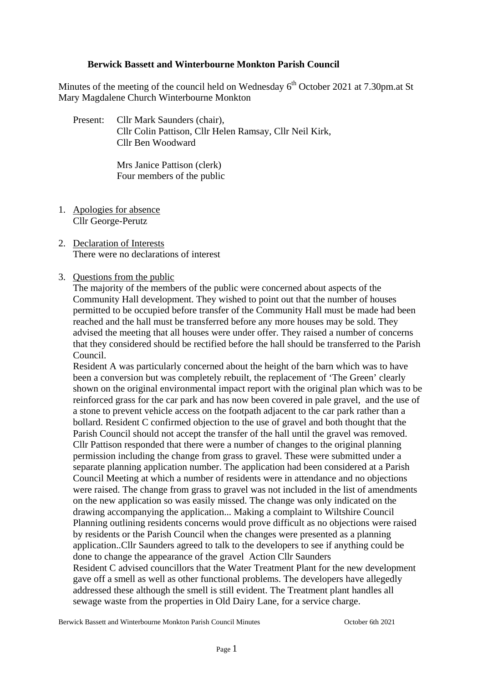# **Berwick Bassett and Winterbourne Monkton Parish Council**

Minutes of the meeting of the council held on Wednesday  $6<sup>th</sup>$  October 2021 at 7.30pm.at St Mary Magdalene Church Winterbourne Monkton

Present: Cllr Mark Saunders (chair), Cllr Colin Pattison, Cllr Helen Ramsay, Cllr Neil Kirk, Cllr Ben Woodward

> Mrs Janice Pattison (clerk) Four members of the public

- 1. Apologies for absence Cllr George-Perutz
- 2. Declaration of Interests There were no declarations of interest

# 3. Questions from the public

The majority of the members of the public were concerned about aspects of the Community Hall development. They wished to point out that the number of houses permitted to be occupied before transfer of the Community Hall must be made had been reached and the hall must be transferred before any more houses may be sold. They advised the meeting that all houses were under offer. They raised a number of concerns that they considered should be rectified before the hall should be transferred to the Parish Council.

Resident A was particularly concerned about the height of the barn which was to have been a conversion but was completely rebuilt, the replacement of 'The Green' clearly shown on the original environmental impact report with the original plan which was to be reinforced grass for the car park and has now been covered in pale gravel, and the use of a stone to prevent vehicle access on the footpath adjacent to the car park rather than a bollard. Resident C confirmed objection to the use of gravel and both thought that the Parish Council should not accept the transfer of the hall until the gravel was removed. Cllr Pattison responded that there were a number of changes to the original planning permission including the change from grass to gravel. These were submitted under a separate planning application number. The application had been considered at a Parish Council Meeting at which a number of residents were in attendance and no objections were raised. The change from grass to gravel was not included in the list of amendments on the new application so was easily missed. The change was only indicated on the drawing accompanying the application... Making a complaint to Wiltshire Council Planning outlining residents concerns would prove difficult as no objections were raised by residents or the Parish Council when the changes were presented as a planning application..Cllr Saunders agreed to talk to the developers to see if anything could be done to change the appearance of the gravel Action Cllr Saunders Resident C advised councillors that the Water Treatment Plant for the new development gave off a smell as well as other functional problems. The developers have allegedly addressed these although the smell is still evident. The Treatment plant handles all sewage waste from the properties in Old Dairy Lane, for a service charge.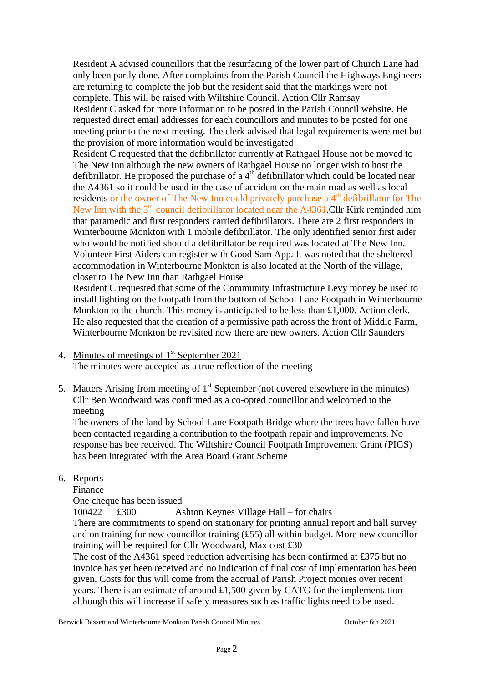Resident A advised councillors that the resurfacing of the lower part of Church Lane had only been partly done. After complaints from the Parish Council the Highways Engineers are returning to complete the job but the resident said that the markings were not complete. This will be raised with Wiltshire Council. Action Cllr Ramsay Resident C asked for more information to be posted in the Parish Council website. He requested direct email addresses for each councillors and minutes to be posted for one meeting prior to the next meeting. The clerk advised that legal requirements were met but the provision of more information would be investigated

Resident C requested that the defibrillator currently at Rathgael House not be moved to The New Inn although the new owners of Rathgael House no longer wish to host the defibrillator. He proposed the purchase of a  $4<sup>th</sup>$  defibrillator which could be located near the A4361 so it could be used in the case of accident on the main road as well as local residents or the owner of The New Inn could privately purchase a  $4<sup>th</sup>$  defibrillator for The New Inn with the 3<sup>rd</sup> council defibrillator located near the A4361.Cllr Kirk reminded him that paramedic and first responders carried defibrillators. There are 2 first responders in Winterbourne Monkton with 1 mobile defibrillator. The only identified senior first aider who would be notified should a defibrillator be required was located at The New Inn. Volunteer First Aiders can register with Good Sam App. It was noted that the sheltered accommodation in Winterbourne Monkton is also located at the North of the village, closer to The New Inn than Rathgael House

Resident C requested that some of the Community Infrastructure Levy money be used to install lighting on the footpath from the bottom of School Lane Footpath in Winterbourne Monkton to the church. This money is anticipated to be less than  $\pounds$ 1,000. Action clerk. He also requested that the creation of a permissive path across the front of Middle Farm, Winterbourne Monkton be revisited now there are new owners. Action Cllr Saunders

- 4. Minutes of meetings of  $1<sup>st</sup>$  September 2021 The minutes were accepted as a true reflection of the meeting
- 5. Matters Arising from meeting of  $1<sup>st</sup>$  September (not covered elsewhere in the minutes) Cllr Ben Woodward was confirmed as a co-opted councillor and welcomed to the meeting

The owners of the land by School Lane Footpath Bridge where the trees have fallen have been contacted regarding a contribution to the footpath repair and improvements. No response has bee received. The Wiltshire Council Footpath Improvement Grant (PIGS) has been integrated with the Area Board Grant Scheme

6. Reports

Finance

One cheque has been issued

100422 £300 Ashton Keynes Village Hall – for chairs

There are commitments to spend on stationary for printing annual report and hall survey and on training for new councillor training (£55) all within budget. More new councillor training will be required for Cllr Woodward, Max cost £30

The cost of the A4361 speed reduction advertising has been confirmed at £375 but no invoice has yet been received and no indication of final cost of implementation has been given. Costs for this will come from the accrual of Parish Project monies over recent years. There is an estimate of around £1,500 given by CATG for the implementation although this will increase if safety measures such as traffic lights need to be used.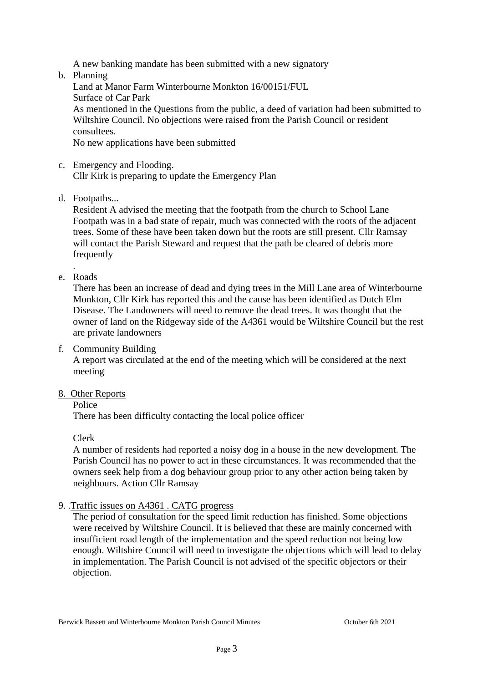A new banking mandate has been submitted with a new signatory

b. Planning

Land at Manor Farm Winterbourne Monkton 16/00151/FUL Surface of Car Park As mentioned in the Questions from the public, a deed of variation had been submitted to Wiltshire Council. No objections were raised from the Parish Council or resident consultees.

No new applications have been submitted

c. Emergency and Flooding. Cllr Kirk is preparing to update the Emergency Plan

d. Footpaths...

Resident A advised the meeting that the footpath from the church to School Lane Footpath was in a bad state of repair, much was connected with the roots of the adjacent trees. Some of these have been taken down but the roots are still present. Cllr Ramsay will contact the Parish Steward and request that the path be cleared of debris more frequently

. e. Roads

> There has been an increase of dead and dying trees in the Mill Lane area of Winterbourne Monkton, Cllr Kirk has reported this and the cause has been identified as Dutch Elm Disease. The Landowners will need to remove the dead trees. It was thought that the owner of land on the Ridgeway side of the A4361 would be Wiltshire Council but the rest are private landowners

f. Community Building

A report was circulated at the end of the meeting which will be considered at the next meeting

8. Other Reports

Police

There has been difficulty contacting the local police officer

Clerk

A number of residents had reported a noisy dog in a house in the new development. The Parish Council has no power to act in these circumstances. It was recommended that the owners seek help from a dog behaviour group prior to any other action being taken by neighbours. Action Cllr Ramsay

### 9. .Traffic issues on A4361 . CATG progress

The period of consultation for the speed limit reduction has finished. Some objections were received by Wiltshire Council. It is believed that these are mainly concerned with insufficient road length of the implementation and the speed reduction not being low enough. Wiltshire Council will need to investigate the objections which will lead to delay in implementation. The Parish Council is not advised of the specific objectors or their objection.